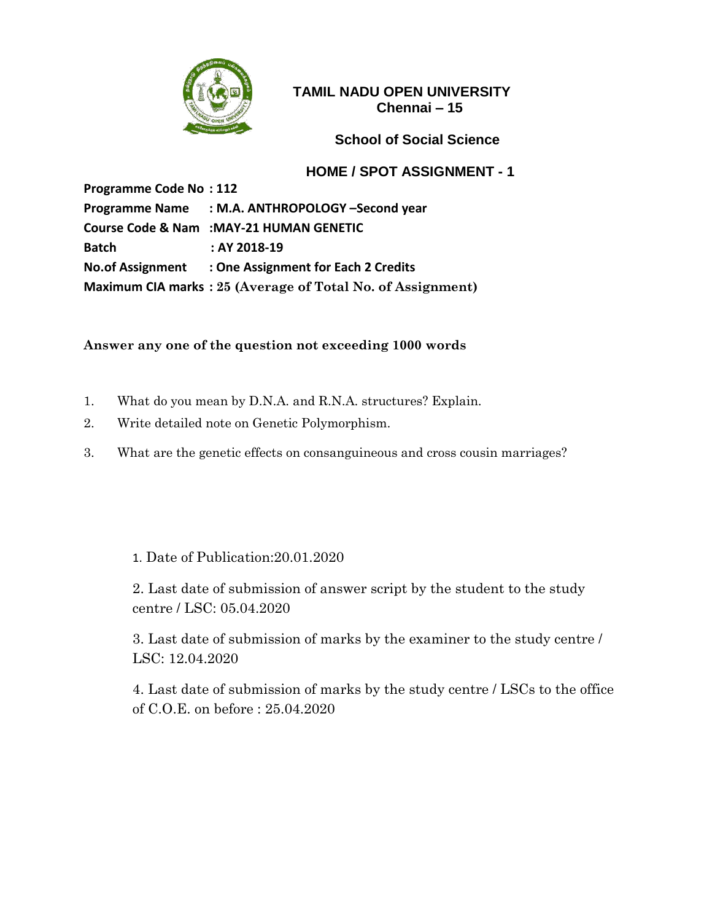

### **School of Social Science**

#### **HOME / SPOT ASSIGNMENT - 1**

**Programme Code No : 112 Programme Name : M.A. ANTHROPOLOGY –Second year Course Code & Nam :MAY-21 HUMAN GENETIC Batch : AY 2018-19 No.of Assignment : One Assignment for Each 2 Credits Maximum CIA marks : 25 (Average of Total No. of Assignment)**

#### **Answer any one of the question not exceeding 1000 words**

- 1. What do you mean by D.N.A. and R.N.A. structures? Explain.
- 2. Write detailed note on Genetic Polymorphism.
- 3. What are the genetic effects on consanguineous and cross cousin marriages?

1. Date of Publication:20.01.2020

2. Last date of submission of answer script by the student to the study centre / LSC: 05.04.2020

3. Last date of submission of marks by the examiner to the study centre / LSC: 12.04.2020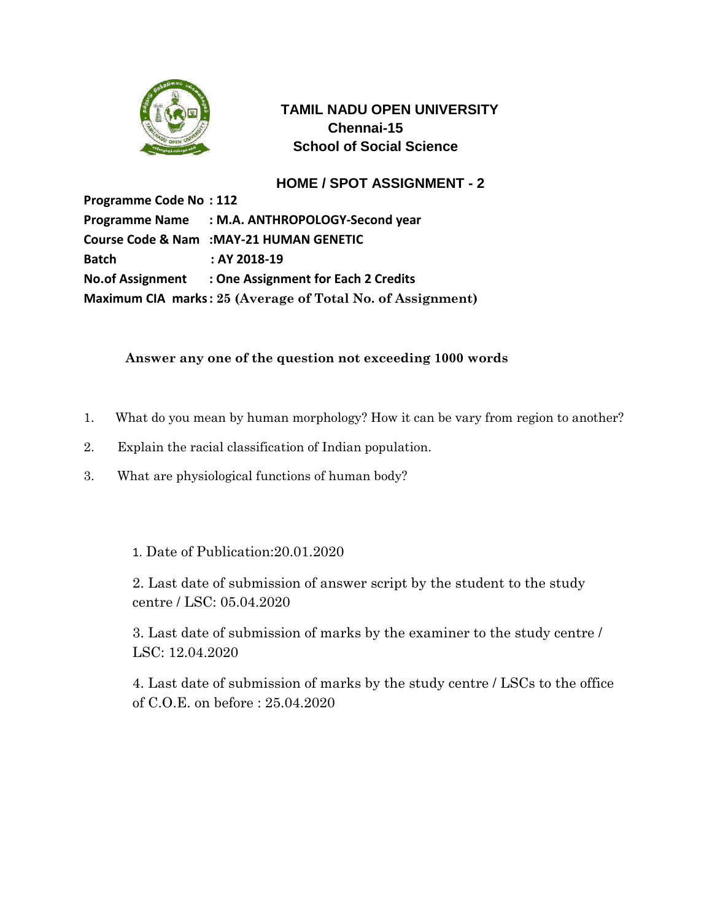

# **TAMIL NADU OPEN UNIVERSITY Chennai-15 School of Social Science**

## **HOME / SPOT ASSIGNMENT - 2**

**Programme Code No : 112 Programme Name : M.A. ANTHROPOLOGY-Second year Course Code & Nam :MAY-21 HUMAN GENETIC Batch : AY 2018-19 No.of Assignment : One Assignment for Each 2 Credits Maximum CIA marks: 25 (Average of Total No. of Assignment)**

### **Answer any one of the question not exceeding 1000 words**

- 1. What do you mean by human morphology? How it can be vary from region to another?
- 2. Explain the racial classification of Indian population.
- 3. What are physiological functions of human body?
	- 1. Date of Publication:20.01.2020

2. Last date of submission of answer script by the student to the study centre / LSC: 05.04.2020

3. Last date of submission of marks by the examiner to the study centre / LSC: 12.04.2020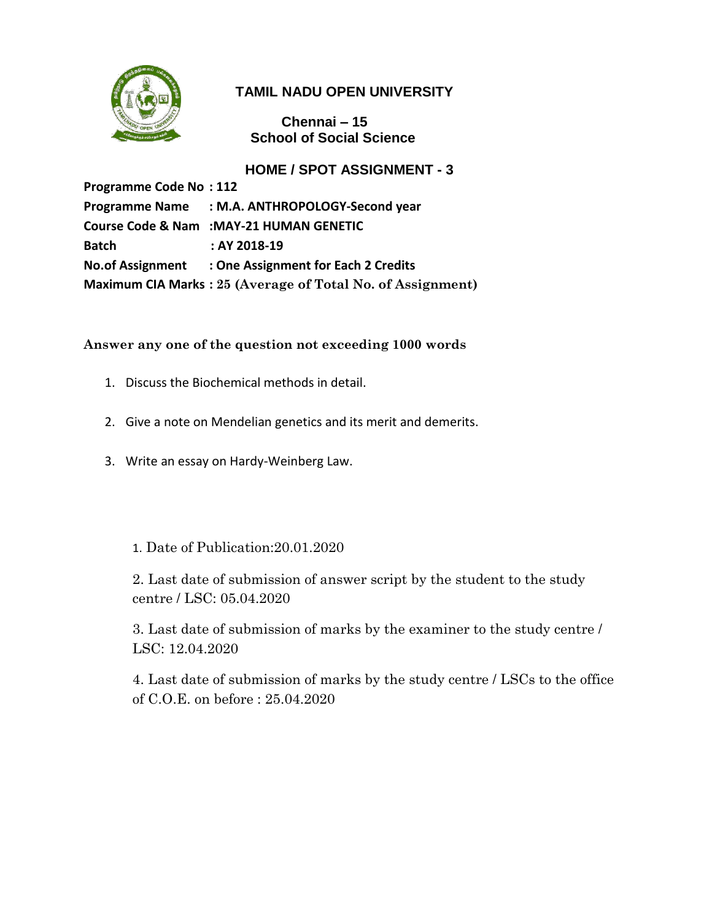

# **TAMIL NADU OPEN UNIVERSITY**

 **Chennai – 15 School of Social Science**

**HOME / SPOT ASSIGNMENT - 3**

**Programme Code No : 112 Programme Name : M.A. ANTHROPOLOGY-Second year Course Code & Nam :MAY-21 HUMAN GENETIC Batch : AY 2018-19 No.of Assignment : One Assignment for Each 2 Credits Maximum CIA Marks : 25 (Average of Total No. of Assignment)**

### **Answer any one of the question not exceeding 1000 words**

- 1. Discuss the Biochemical methods in detail.
- 2. Give a note on Mendelian genetics and its merit and demerits.
- 3. Write an essay on Hardy-Weinberg Law.

## 1. Date of Publication:20.01.2020

2. Last date of submission of answer script by the student to the study centre / LSC: 05.04.2020

3. Last date of submission of marks by the examiner to the study centre / LSC: 12.04.2020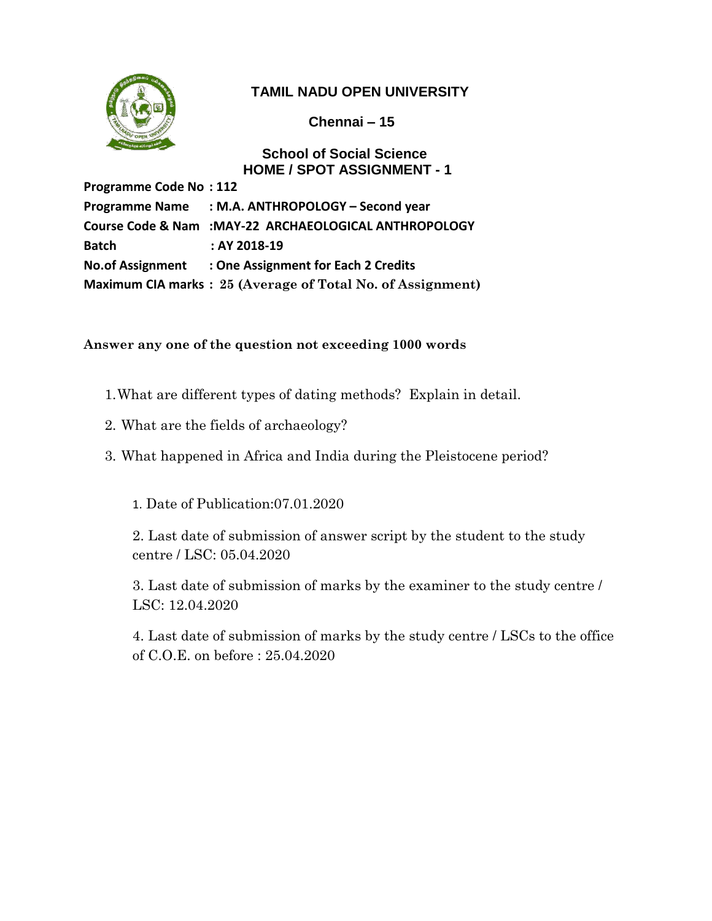

# **TAMIL NADU OPEN UNIVERSITY**

 **Chennai – 15**

 **School of Social Science HOME / SPOT ASSIGNMENT - 1**

**Programme Code No : 112 Programme Name : M.A. ANTHROPOLOGY – Second year Course Code & Nam :MAY-22 ARCHAEOLOGICAL ANTHROPOLOGY Batch : AY 2018-19 No.of Assignment : One Assignment for Each 2 Credits Maximum CIA marks : 25 (Average of Total No. of Assignment)**

### **Answer any one of the question not exceeding 1000 words**

- 1.What are different types of dating methods? Explain in detail.
- 2. What are the fields of archaeology?
- 3. What happened in Africa and India during the Pleistocene period?

1. Date of Publication:07.01.2020

2. Last date of submission of answer script by the student to the study centre / LSC: 05.04.2020

3. Last date of submission of marks by the examiner to the study centre / LSC: 12.04.2020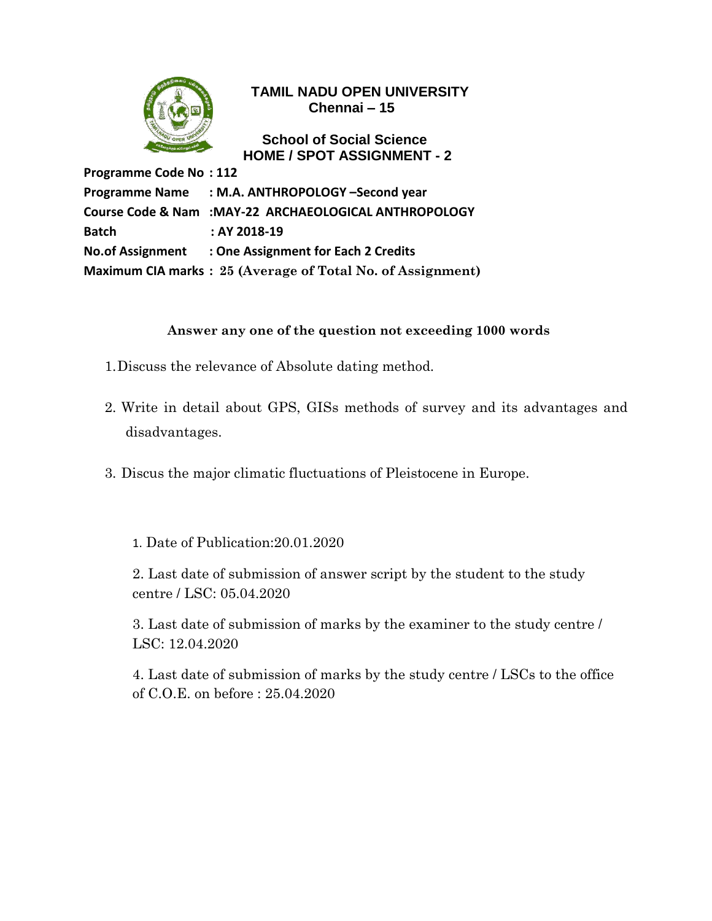

 **School of Social Science HOME / SPOT ASSIGNMENT - 2**

**Programme Code No : 112 Programme Name : M.A. ANTHROPOLOGY –Second year Course Code & Nam :MAY-22 ARCHAEOLOGICAL ANTHROPOLOGY Batch : AY 2018-19 No.of Assignment : One Assignment for Each 2 Credits Maximum CIA marks : 25 (Average of Total No. of Assignment)**

### **Answer any one of the question not exceeding 1000 words**

- 1.Discuss the relevance of Absolute dating method.
- 2. Write in detail about GPS, GISs methods of survey and its advantages and disadvantages.
- 3. Discus the major climatic fluctuations of Pleistocene in Europe.

1. Date of Publication:20.01.2020

2. Last date of submission of answer script by the student to the study centre / LSC: 05.04.2020

3. Last date of submission of marks by the examiner to the study centre / LSC: 12.04.2020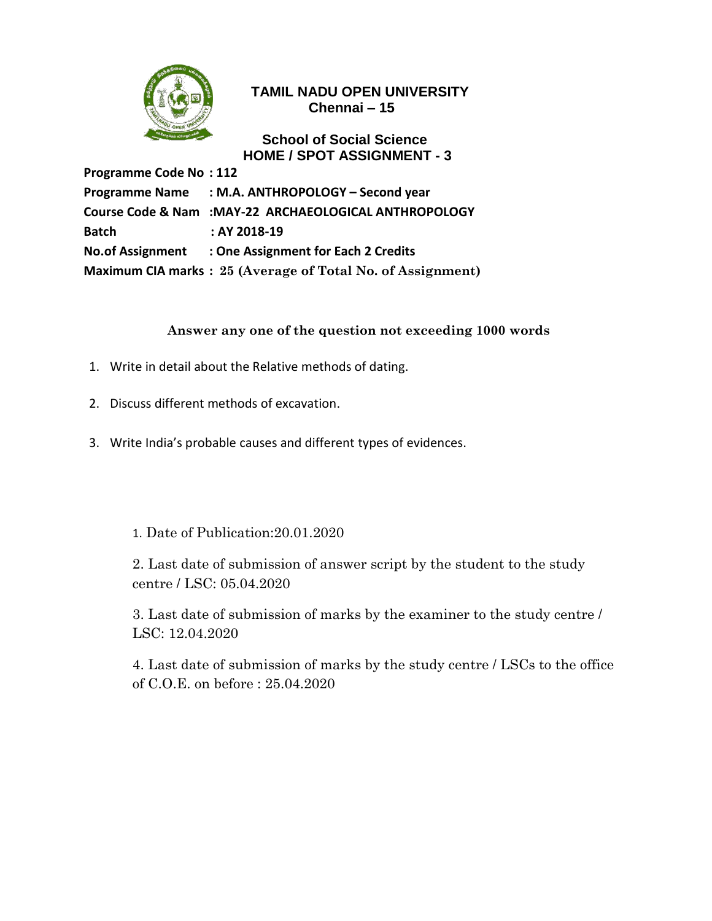

### **School of Social Science HOME / SPOT ASSIGNMENT - 3**

**Programme Code No : 112 Programme Name : M.A. ANTHROPOLOGY – Second year Course Code & Nam :MAY-22 ARCHAEOLOGICAL ANTHROPOLOGY Batch : AY 2018-19 No.of Assignment : One Assignment for Each 2 Credits Maximum CIA marks : 25 (Average of Total No. of Assignment)**

## **Answer any one of the question not exceeding 1000 words**

- 1. Write in detail about the Relative methods of dating.
- 2. Discuss different methods of excavation.
- 3. Write India's probable causes and different types of evidences.

1. Date of Publication:20.01.2020

2. Last date of submission of answer script by the student to the study centre / LSC: 05.04.2020

3. Last date of submission of marks by the examiner to the study centre / LSC: 12.04.2020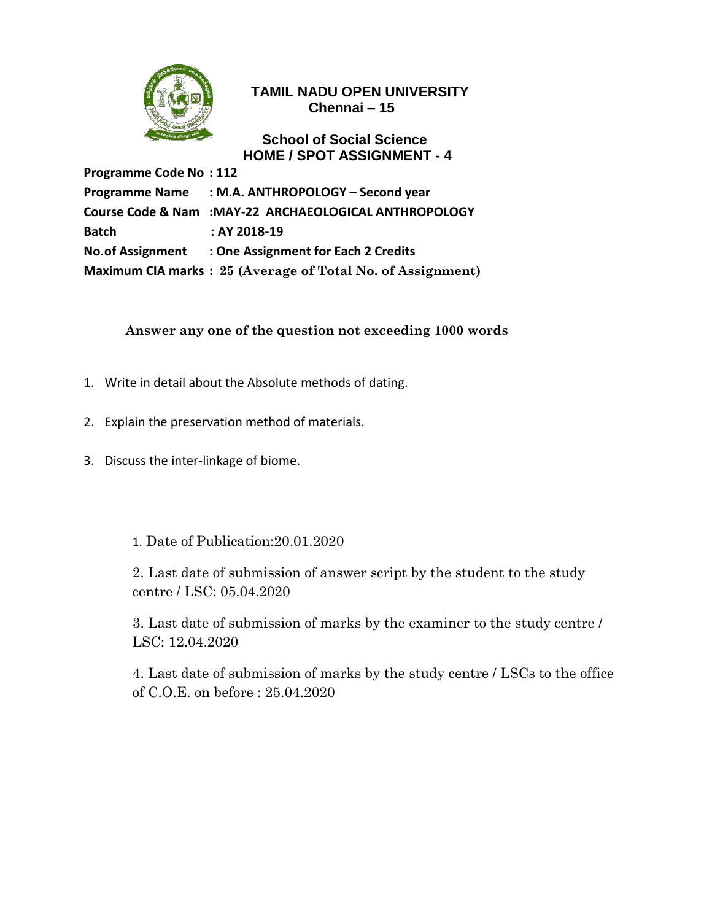

### **School of Social Science HOME / SPOT ASSIGNMENT - 4**

**Programme Code No : 112 Programme Name : M.A. ANTHROPOLOGY – Second year Course Code & Nam :MAY-22 ARCHAEOLOGICAL ANTHROPOLOGY Batch : AY 2018-19 No.of Assignment : One Assignment for Each 2 Credits Maximum CIA marks : 25 (Average of Total No. of Assignment)**

**Answer any one of the question not exceeding 1000 words**

- 1. Write in detail about the Absolute methods of dating.
- 2. Explain the preservation method of materials.
- 3. Discuss the inter-linkage of biome.
	- 1. Date of Publication:20.01.2020

2. Last date of submission of answer script by the student to the study centre / LSC: 05.04.2020

3. Last date of submission of marks by the examiner to the study centre / LSC: 12.04.2020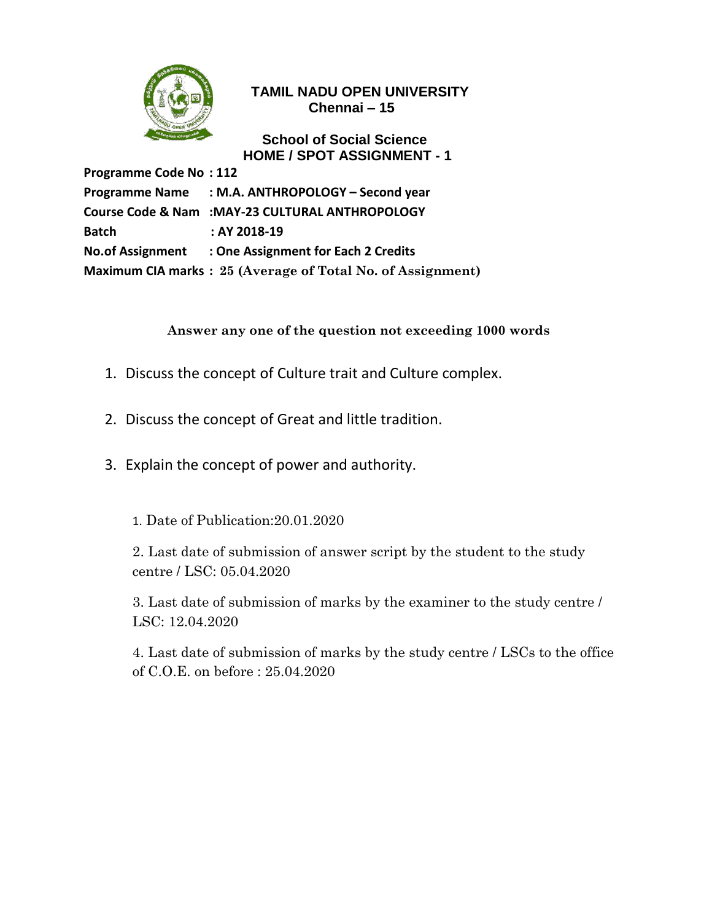

### **School of Social Science HOME / SPOT ASSIGNMENT - 1**

**Programme Code No : 112 Programme Name : M.A. ANTHROPOLOGY – Second year Course Code & Nam :MAY-23 CULTURAL ANTHROPOLOGY Batch : AY 2018-19 No.of Assignment : One Assignment for Each 2 Credits Maximum CIA marks : 25 (Average of Total No. of Assignment)**

## **Answer any one of the question not exceeding 1000 words**

- 1. Discuss the concept of Culture trait and Culture complex.
- 2. Discuss the concept of Great and little tradition.
- 3. Explain the concept of power and authority.

1. Date of Publication:20.01.2020

2. Last date of submission of answer script by the student to the study centre / LSC: 05.04.2020

3. Last date of submission of marks by the examiner to the study centre / LSC: 12.04.2020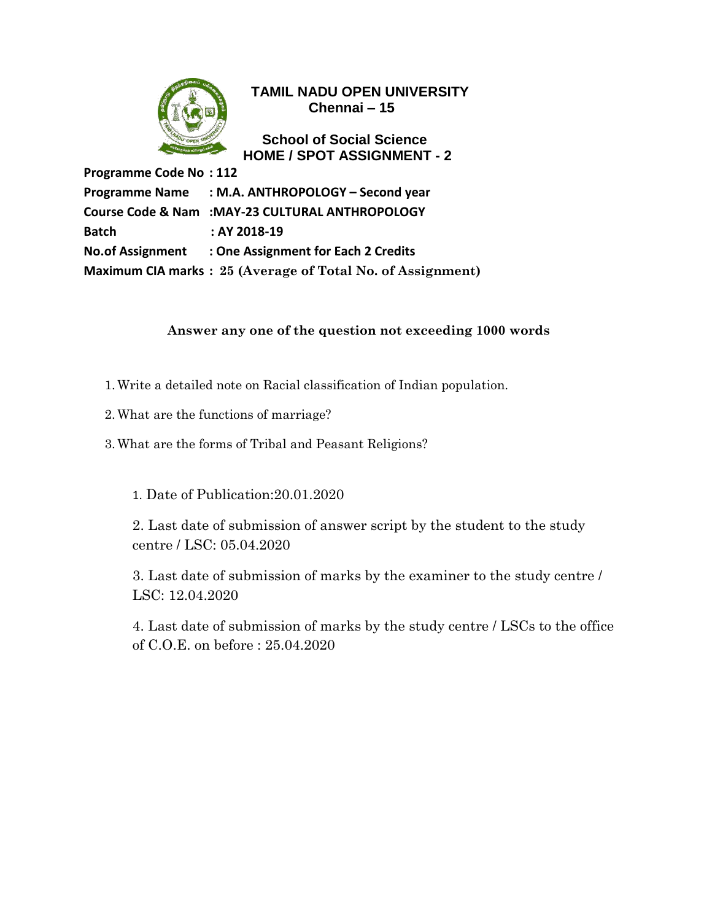

 **School of Social Science HOME / SPOT ASSIGNMENT - 2**

**Programme Code No : 112 Programme Name : M.A. ANTHROPOLOGY – Second year Course Code & Nam :MAY-23 CULTURAL ANTHROPOLOGY Batch : AY 2018-19 No.of Assignment : One Assignment for Each 2 Credits Maximum CIA marks : 25 (Average of Total No. of Assignment)**

### **Answer any one of the question not exceeding 1000 words**

- 1.Write a detailed note on Racial classification of Indian population.
- 2.What are the functions of marriage?
- 3.What are the forms of Tribal and Peasant Religions?

1. Date of Publication:20.01.2020

2. Last date of submission of answer script by the student to the study centre / LSC: 05.04.2020

3. Last date of submission of marks by the examiner to the study centre / LSC: 12.04.2020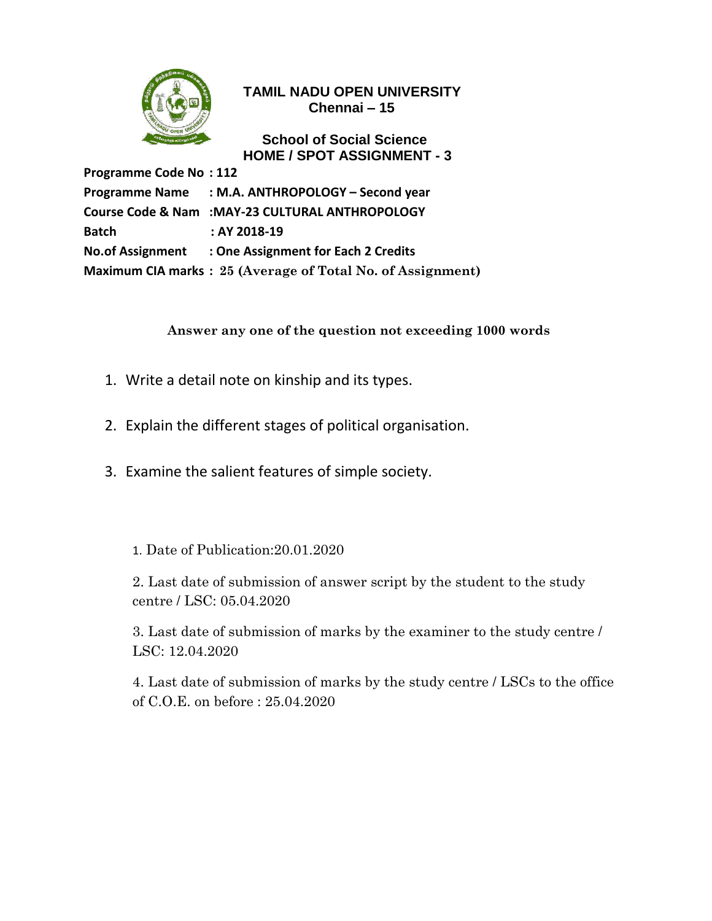

### **School of Social Science HOME / SPOT ASSIGNMENT - 3**

**Programme Code No : 112 Programme Name : M.A. ANTHROPOLOGY – Second year Course Code & Nam :MAY-23 CULTURAL ANTHROPOLOGY Batch : AY 2018-19 No.of Assignment : One Assignment for Each 2 Credits Maximum CIA marks : 25 (Average of Total No. of Assignment)**

**Answer any one of the question not exceeding 1000 words**

- 1. Write a detail note on kinship and its types.
- 2. Explain the different stages of political organisation.
- 3. Examine the salient features of simple society.
	- 1. Date of Publication:20.01.2020

2. Last date of submission of answer script by the student to the study centre / LSC: 05.04.2020

3. Last date of submission of marks by the examiner to the study centre / LSC: 12.04.2020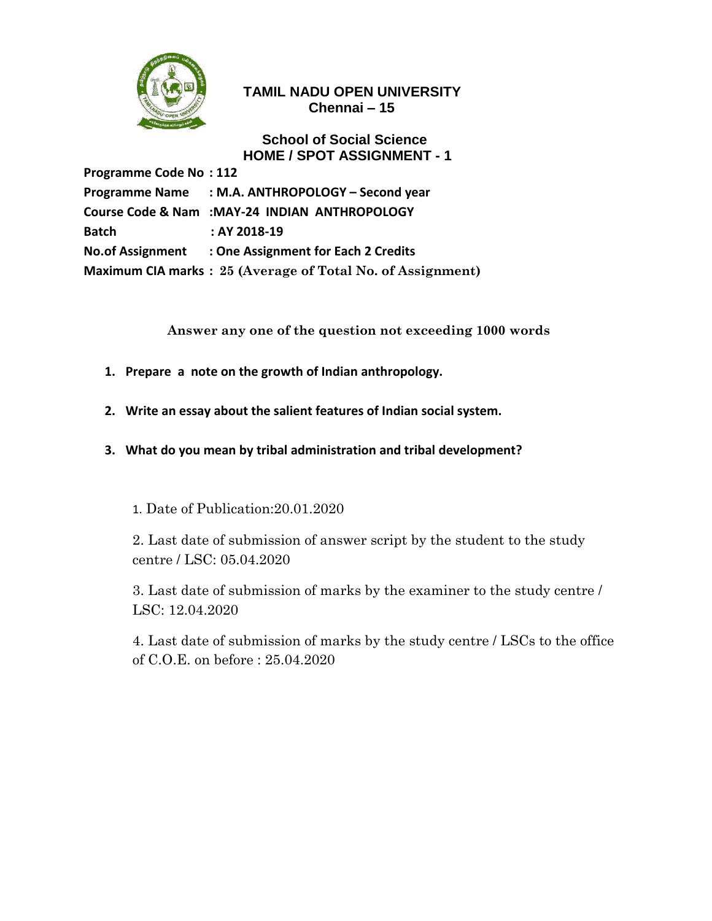

### **School of Social Science HOME / SPOT ASSIGNMENT - 1**

**Programme Code No : 112 Programme Name : M.A. ANTHROPOLOGY – Second year Course Code & Nam :MAY-24 INDIAN ANTHROPOLOGY Batch : AY 2018-19 No.of Assignment : One Assignment for Each 2 Credits Maximum CIA marks : 25 (Average of Total No. of Assignment)**

**Answer any one of the question not exceeding 1000 words**

- **1. Prepare a note on the growth of Indian anthropology.**
- **2. Write an essay about the salient features of Indian social system.**
- **3. What do you mean by tribal administration and tribal development?**

1. Date of Publication:20.01.2020

2. Last date of submission of answer script by the student to the study centre / LSC: 05.04.2020

3. Last date of submission of marks by the examiner to the study centre / LSC: 12.04.2020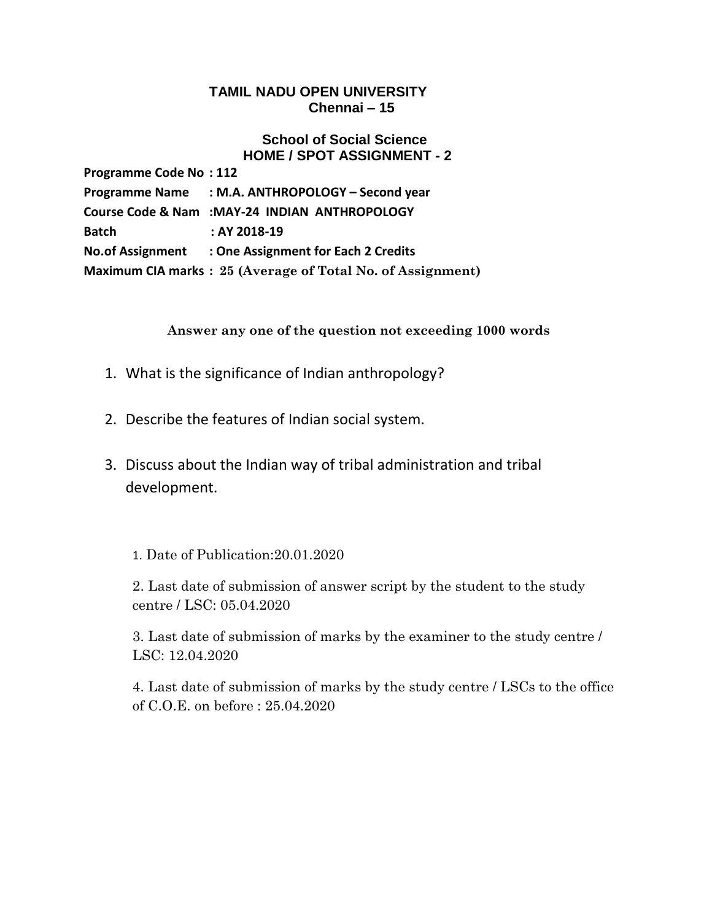#### **School of Social Science HOME / SPOT ASSIGNMENT - 2**

| <b>Programme Code No: 112</b> |                                                            |
|-------------------------------|------------------------------------------------------------|
|                               | Programme Name : M.A. ANTHROPOLOGY - Second year           |
|                               | Course Code & Nam :MAY-24 INDIAN ANTHROPOLOGY              |
| Batch                         | : AY 2018-19                                               |
|                               | No.of Assignment : One Assignment for Each 2 Credits       |
|                               | Maximum CIA marks: 25 (Average of Total No. of Assignment) |

### **Answer any one of the question not exceeding 1000 words**

- 1. What is the significance of Indian anthropology?
- 2. Describe the features of Indian social system.
- 3. Discuss about the Indian way of tribal administration and tribal development.
	- 1. Date of Publication:20.01.2020

2. Last date of submission of answer script by the student to the study centre / LSC: 05.04.2020

3. Last date of submission of marks by the examiner to the study centre / LSC: 12.04.2020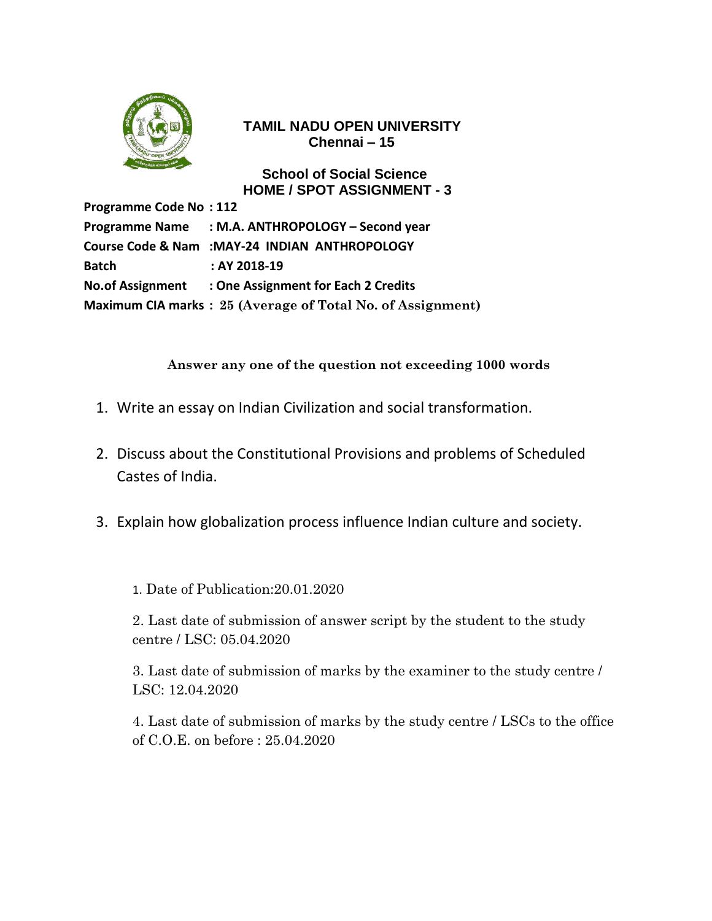

 **School of Social Science HOME / SPOT ASSIGNMENT - 3**

**Programme Code No : 112 Programme Name : M.A. ANTHROPOLOGY – Second year Course Code & Nam :MAY-24 INDIAN ANTHROPOLOGY Batch : AY 2018-19 No.of Assignment : One Assignment for Each 2 Credits Maximum CIA marks : 25 (Average of Total No. of Assignment)**

**Answer any one of the question not exceeding 1000 words**

- 1. Write an essay on Indian Civilization and social transformation.
- 2. Discuss about the Constitutional Provisions and problems of Scheduled Castes of India.
- 3. Explain how globalization process influence Indian culture and society.

1. Date of Publication:20.01.2020

2. Last date of submission of answer script by the student to the study centre / LSC: 05.04.2020

3. Last date of submission of marks by the examiner to the study centre / LSC: 12.04.2020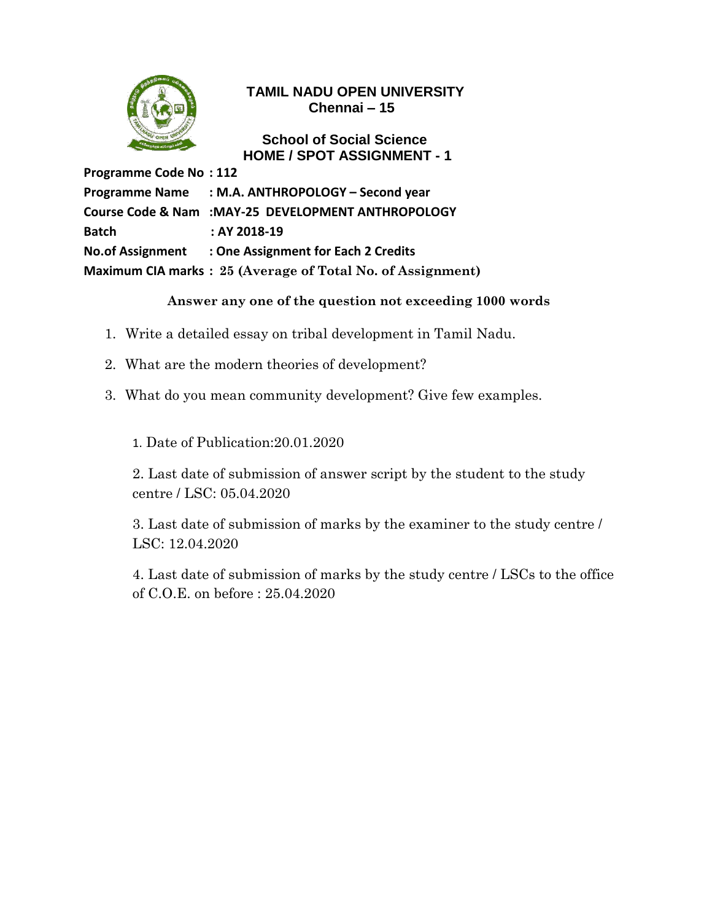

 **School of Social Science HOME / SPOT ASSIGNMENT - 1**

**Programme Code No : 112 Programme Name : M.A. ANTHROPOLOGY – Second year Course Code & Nam :MAY-25 DEVELOPMENT ANTHROPOLOGY Batch : AY 2018-19 No.of Assignment : One Assignment for Each 2 Credits Maximum CIA marks : 25 (Average of Total No. of Assignment)**

**Answer any one of the question not exceeding 1000 words**

- 1.Write a detailed essay on tribal development in Tamil Nadu.
- 2. What are the modern theories of development?
- 3. What do you mean community development? Give few examples.

1. Date of Publication:20.01.2020

2. Last date of submission of answer script by the student to the study centre / LSC: 05.04.2020

3. Last date of submission of marks by the examiner to the study centre / LSC: 12.04.2020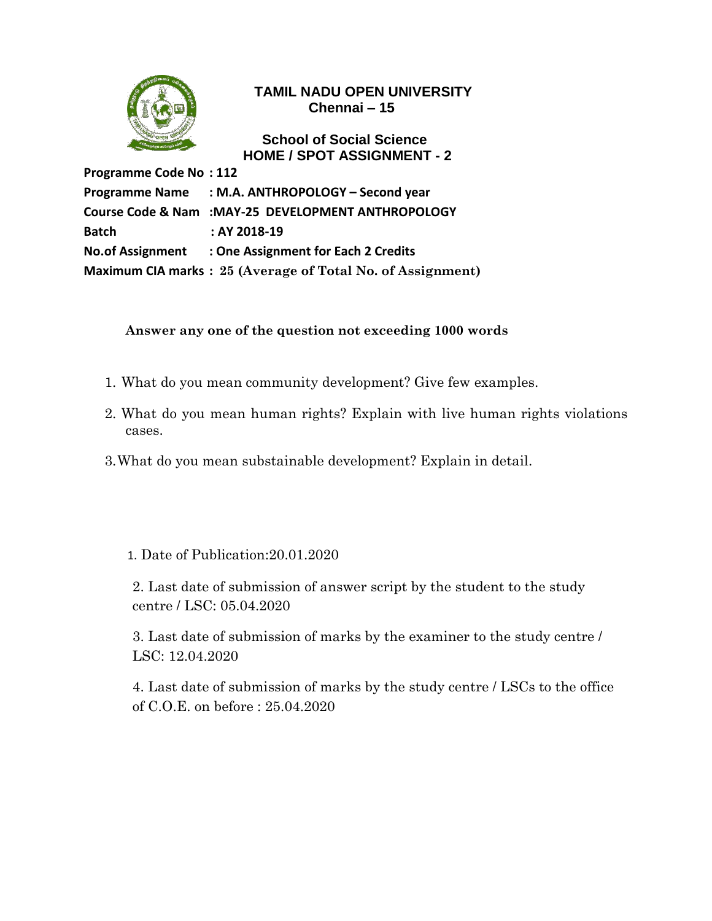

### **School of Social Science HOME / SPOT ASSIGNMENT - 2**

**Programme Code No : 112 Programme Name : M.A. ANTHROPOLOGY – Second year Course Code & Nam :MAY-25 DEVELOPMENT ANTHROPOLOGY Batch : AY 2018-19 No.of Assignment : One Assignment for Each 2 Credits Maximum CIA marks : 25 (Average of Total No. of Assignment)**

## **Answer any one of the question not exceeding 1000 words**

- 1. What do you mean community development? Give few examples.
- 2. What do you mean human rights? Explain with live human rights violations cases.
- 3.What do you mean substainable development? Explain in detail.

## 1. Date of Publication:20.01.2020

2. Last date of submission of answer script by the student to the study centre / LSC: 05.04.2020

3. Last date of submission of marks by the examiner to the study centre / LSC: 12.04.2020